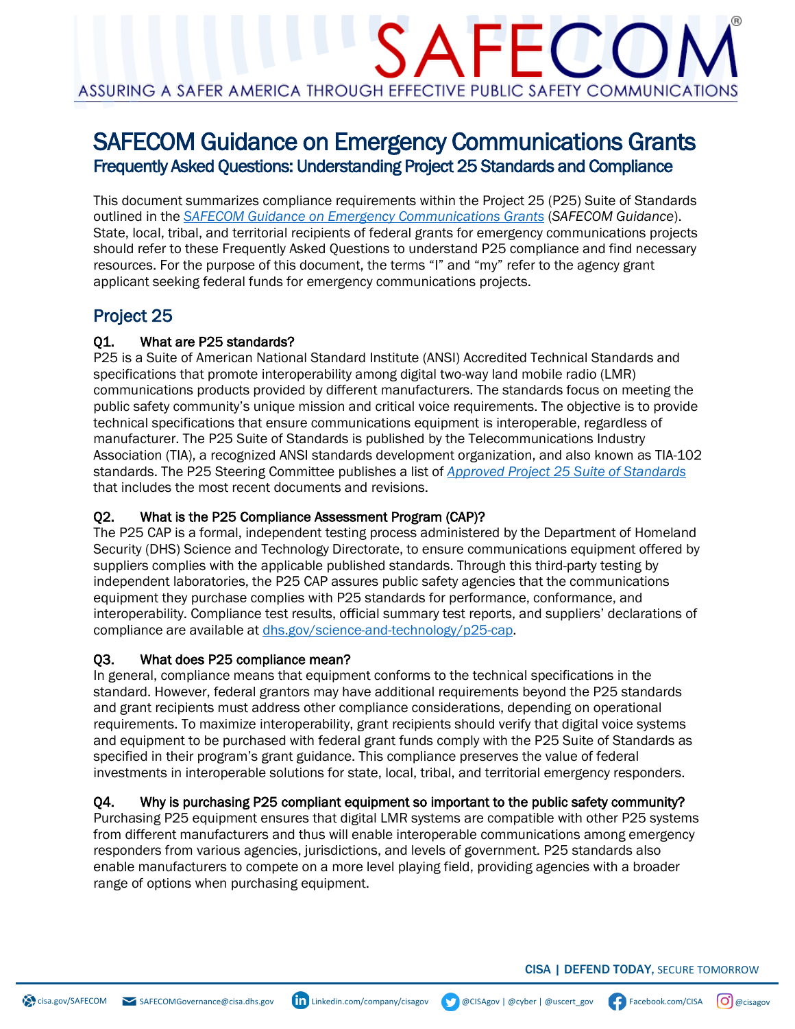# SAFECOM Guidance on Emergency Communications Grants Frequently Asked Questions: Understanding Project 25 Standards and Compliance

This document summarizes compliance requirements within the Project 25 (P25) Suite of Standards outlined in the *[SAFECOM Guidance on Emergency Communications Grants](https://www.cisa.gov/safecom/funding)* (*SAFECOM Guidance*). State, local, tribal, and territorial recipients of federal grants for emergency communications projects should refer to these Frequently Asked Questions to understand P25 compliance and find necessary resources. For the purpose of this document, the terms "I" and "my" refer to the agency grant applicant seeking federal funds for emergency communications projects.

# Project 25

#### Q1. What are P25 standards?

P25 is a Suite of American National Standard Institute (ANSI) Accredited Technical Standards and specifications that promote interoperability among digital two-way land mobile radio (LMR) communications products provided by different manufacturers. The standards focus on meeting the public safety community's unique mission and critical voice requirements. The objective is to provide technical specifications that ensure communications equipment is interoperable, regardless of manufacturer. The P25 Suite of Standards is published by the Telecommunications Industry Association (TIA), a recognized ANSI standards development organization, and also known as TIA-102 standards. The P25 Steering Committee publishes a list of *[Approved Project 25 Suite of Standards](http://www.project25.org/)* that includes the most recent documents and revisions.

#### Q2. What is the P25 Compliance Assessment Program (CAP)?

The P25 CAP is a formal, independent testing process administered by the Department of Homeland Security (DHS) Science and Technology Directorate, to ensure communications equipment offered by suppliers complies with the applicable published standards. Through this third-party testing by independent laboratories, the P25 CAP assures public safety agencies that the communications equipment they purchase complies with P25 standards for performance, conformance, and interoperability. Compliance test results, official summary test reports, and suppliers' declarations of compliance are available at [dhs.gov/science-and-technology/p25-cap.](http://www.dhs.gov/science-and-technology/p25-cap)

#### Q3. What does P25 compliance mean?

In general, compliance means that equipment conforms to the technical specifications in the standard. However, federal grantors may have additional requirements beyond the P25 standards and grant recipients must address other compliance considerations, depending on operational requirements. To maximize interoperability, grant recipients should verify that digital voice systems and equipment to be purchased with federal grant funds comply with the P25 Suite of Standards as specified in their program's grant guidance. This compliance preserves the value of federal investments in interoperable solutions for state, local, tribal, and territorial emergency responders.

#### Q4. Why is purchasing P25 compliant equipment so important to the public safety community?

Purchasing P25 equipment ensures that digital LMR systems are compatible with other P25 systems from different manufacturers and thus will enable interoperable communications among emergency responders from various agencies, jurisdictions, and levels of government. P25 standards also enable manufacturers to compete on a more level playing field, providing agencies with a broader range of options when purchasing equipment.

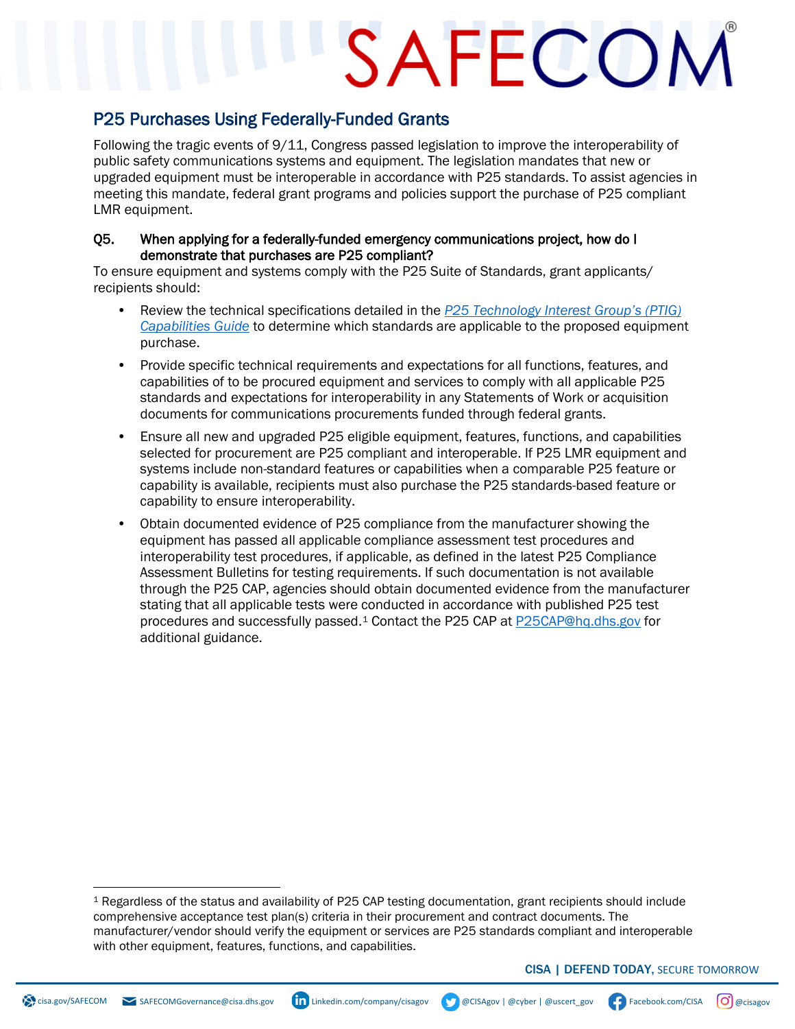# SAFECOM

## P25 Purchases Using Federally-Funded Grants

Following the tragic events of 9/11, Congress passed legislation to improve the interoperability of public safety communications systems and equipment. The legislation mandates that new or upgraded equipment must be interoperable in accordance with P25 standards. To assist agencies in meeting this mandate, federal grant programs and policies support the purchase of P25 compliant LMR equipment.

#### Q5. When applying for a federally-funded emergency communications project, how do I demonstrate that purchases are P25 compliant?

To ensure equipment and systems comply with the P25 Suite of Standards, grant applicants/ recipients should:

- Review the technical specifications detailed in the *[P25 Technology Interest Group's \(PTIG\)](http://www.project25.org/)  [Capabilities Guide](http://www.project25.org/)* to determine which standards are applicable to the proposed equipment purchase.
- Provide specific technical requirements and expectations for all functions, features, and capabilities of to be procured equipment and services to comply with all applicable P25 standards and expectations for interoperability in any Statements of Work or acquisition documents for communications procurements funded through federal grants.
- Ensure all new and upgraded P25 eligible equipment, features, functions, and capabilities selected for procurement are P25 compliant and interoperable. If P25 LMR equipment and systems include non-standard features or capabilities when a comparable P25 feature or capability is available, recipients must also purchase the P25 standards-based feature or capability to ensure interoperability.
- Obtain documented evidence of P25 compliance from the manufacturer showing the equipment has passed all applicable compliance assessment test procedures and interoperability test procedures, if applicable, as defined in the latest P25 Compliance Assessment Bulletins for testing requirements. If such documentation is not available through the P25 CAP, agencies should obtain documented evidence from the manufacturer stating that all applicable tests were conducted in accordance with published P25 test procedures and successfully passed.<sup>[1](#page-1-0)</sup> Contact the P25 CAP at [P25CAP@hq.dhs.gov](mailto:P25CAP@hq.dhs.gov) for additional guidance.





<span id="page-1-0"></span><sup>1</sup> Regardless of the status and availability of P25 CAP testing documentation, grant recipients should include comprehensive acceptance test plan(s) criteria in their procurement and contract documents. The manufacturer/vendor should verify the equipment or services are P25 standards compliant and interoperable with other equipment, features, functions, and capabilities.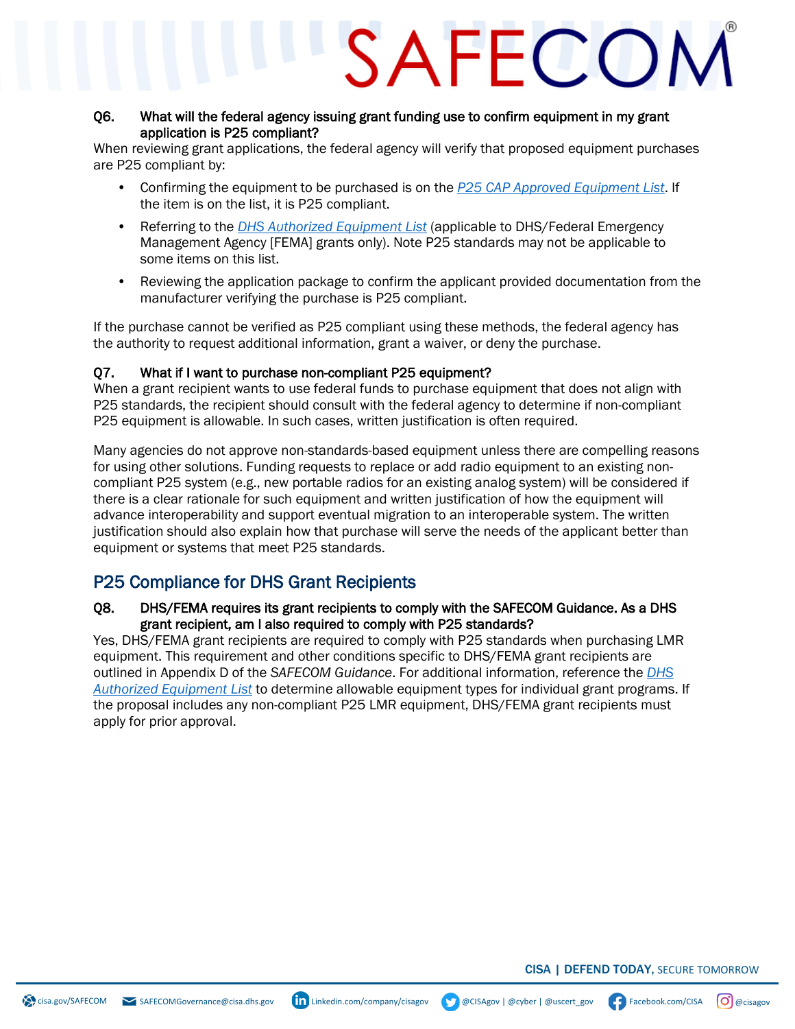# SAFFCON

#### Q6. What will the federal agency issuing grant funding use to confirm equipment in my grant application is P25 compliant?

When reviewing grant applications, the federal agency will verify that proposed equipment purchases are P25 compliant by:

- Confirming the equipment to be purchased is on the *[P25 CAP Approved Equipment List](https://www.dhs.gov/science-and-technology/approved-grant-eligible-equipment)*. If the item is on the list, it is P25 compliant.
- Referring to the *[DHS Authorized Equipment List](https://www.fema.gov/grants/guidance-tools/authorized-equipment-list)* (applicable to DHS/Federal Emergency Management Agency [FEMA] grants only). Note P25 standards may not be applicable to some items on this list.
- Reviewing the application package to confirm the applicant provided documentation from the manufacturer verifying the purchase is P25 compliant.

If the purchase cannot be verified as P25 compliant using these methods, the federal agency has the authority to request additional information, grant a waiver, or deny the purchase.

#### Q7. What if I want to purchase non-compliant P25 equipment?

When a grant recipient wants to use federal funds to purchase equipment that does not align with P25 standards, the recipient should consult with the federal agency to determine if non-compliant P25 equipment is allowable. In such cases, written justification is often required.

Many agencies do not approve non-standards-based equipment unless there are compelling reasons for using other solutions. Funding requests to replace or add radio equipment to an existing noncompliant P25 system (e.g., new portable radios for an existing analog system) will be considered if there is a clear rationale for such equipment and written justification of how the equipment will advance interoperability and support eventual migration to an interoperable system. The written justification should also explain how that purchase will serve the needs of the applicant better than equipment or systems that meet P25 standards.

### P25 Compliance for DHS Grant Recipients

#### Q8. DHS/FEMA requires its grant recipients to comply with the SAFECOM Guidance. As a DHS grant recipient, am I also required to comply with P25 standards?

Yes, DHS/FEMA grant recipients are required to comply with P25 standards when purchasing LMR equipment. This requirement and other conditions specific to DHS/FEMA grant recipients are outlined in Appendix D of the *SAFECOM Guidance*. For additional information, reference the *[DHS](https://www.fema.gov/grants/guidance-tools/authorized-equipment-list)  [Authorized Equipment List](https://www.fema.gov/grants/guidance-tools/authorized-equipment-list)* to determine allowable equipment types for individual grant programs. If the proposal includes any non-compliant P25 LMR equipment, DHS/FEMA grant recipients must apply for prior approval.